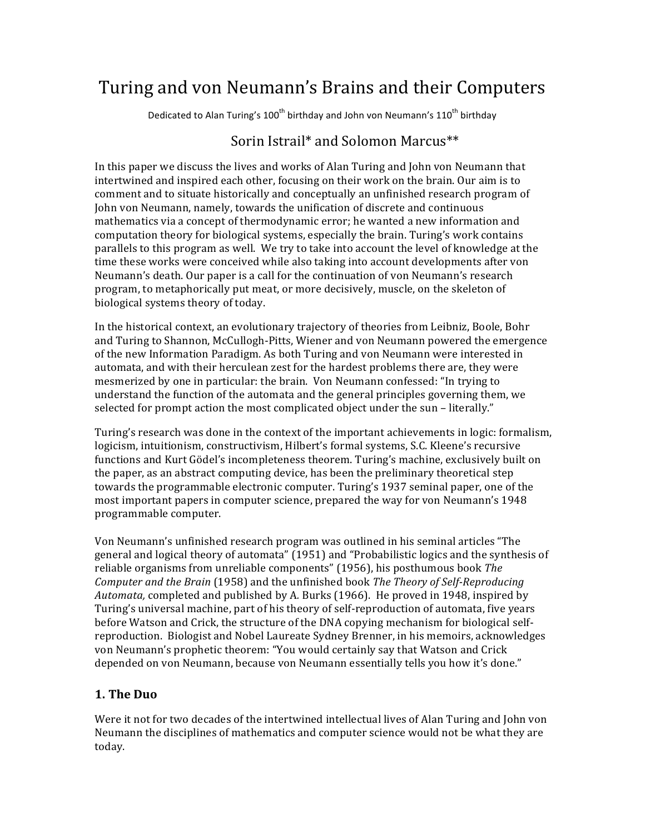# Turing and von Neumann's Brains and their Computers

Dedicated to Alan Turing's 100<sup>th</sup> birthday and John von Neumann's 110<sup>th</sup> birthday

# Sorin Istrail\* and Solomon Marcus\*\*

In this paper we discuss the lives and works of Alan Turing and John von Neumann that intertwined and inspired each other, focusing on their work on the brain. Our aim is to comment and to situate historically and conceptually an unfinished research program of John von Neumann, namely, towards the unification of discrete and continuous mathematics via a concept of thermodynamic error; he wanted a new information and computation theory for biological systems, especially the brain. Turing's work contains parallels to this program as well. We try to take into account the level of knowledge at the time these works were conceived while also taking into account developments after von Neumann's death. Our paper is a call for the continuation of von Neumann's research program, to metaphorically put meat, or more decisively, muscle, on the skeleton of biological systems theory of today.

In the historical context, an evolutionary trajectory of theories from Leibniz, Boole, Bohr and Turing to Shannon, McCullogh-Pitts, Wiener and von Neumann powered the emergence of the new Information Paradigm. As both Turing and von Neumann were interested in automata, and with their herculean zest for the hardest problems there are, they were mesmerized by one in particular: the brain. Von Neumann confessed: "In trying to understand the function of the automata and the general principles governing them, we selected for prompt action the most complicated object under the sun – literally."

Turing's research was done in the context of the important achievements in logic: formalism, logicism, intuitionism, constructivism, Hilbert's formal systems, S.C. Kleene's recursive functions and Kurt Gödel's incompleteness theorem. Turing's machine, exclusively built on the paper, as an abstract computing device, has been the preliminary theoretical step towards the programmable electronic computer. Turing's 1937 seminal paper, one of the most important papers in computer science, prepared the way for von Neumann's 1948 programmable computer.

Von Neumann's unfinished research program was outlined in his seminal articles "The general and logical theory of automata" (1951) and "Probabilistic logics and the synthesis of reliable organisms from unreliable components" (1956), his posthumous book The *Computer\$and\$the\$Brain* (1958)'and'the'unfinished'book'*The\$Theory\$of\$Self5Reproducing\$ Automata,\$*completed'and'published'by'A*.\$*Burks (1966). He'proved'in'1948,'inspired'by' Turing's universal machine, part of his theory of self-reproduction of automata, five years' before Watson and Crick, the structure of the DNA copying mechanism for biological selfreproduction.' Biologist and Nobel Laureate Sydney Brenner, in his memoirs, acknowledges von Neumann's prophetic theorem: "You would certainly say that Watson and Crick' depended on von Neumann, because von Neumann essentially tells you how it's done."

### **1. The&Duo**

Were it not for two decades of the intertwined intellectual lives of Alan Turing and John von Neumann'the disciplines of mathematics and computer science would not be what they are today.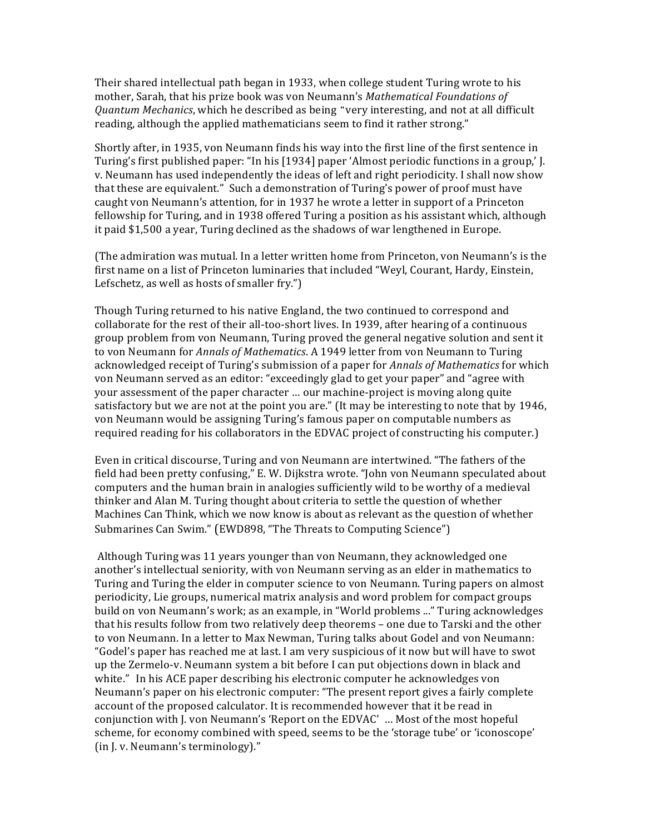Their shared intellectual path began in 1933, when college student Turing wrote to his mother, Sarah, that his prize book was von Neumann's *Mathematical Foundations of* Quantum Mechanics, which he described as being "very interesting, and not at all difficult reading, although the applied mathematicians seem to find it rather strong."

Shortly after, in 1935, von Neumann finds his way into the first line of the first sentence in Turing's first published paper: "In his [1934] paper 'Almost periodic functions in a group,' J. v. Neumann has used independently the ideas of left and right periodicity. I shall now show that these are equivalent." Such a demonstration of Turing's power of proof must have caught von Neumann's attention, for in 1937 he wrote a letter in support of a Princeton fellowship for Turing, and in 1938 offered Turing a position as his assistant which, although it paid \$1,500 a year, Turing declined as the shadows of war lengthened in Europe.

(The admiration was mutual. In a letter written home from Princeton, von Neumann's is the first name on a list of Princeton luminaries that included "Weyl, Courant, Hardy, Einstein, Lefschetz, as well as hosts of smaller fry.")

Though Turing returned to his native England, the two continued to correspond and collaborate for the rest of their all-too-short lives. In 1939, after hearing of a continuous group problem from von Neumann, Turing proved the general negative solution and sent it to von Neumann for *Annals of Mathematics*. A 1949 letter from von Neumann to Turing acknowledged receipt of Turing's submission of a paper for *Annals of Mathematics* for which von Neumann served as an editor: "exceedingly glad to get your paper" and "agree with your assessment of the paper character ... our machine-project is moving along quite satisfactory but we are not at the point you are." (It may be interesting to note that by 1946, von Neumann would be assigning Turing's famous paper on computable numbers as required reading for his collaborators in the EDVAC project of constructing his computer.)

Even in critical discourse, Turing and von Neumann are intertwined. "The fathers of the field had been pretty confusing," E. W. Dijkstra wrote. "John von Neumann speculated about computers and the human brain in analogies sufficiently wild to be worthy of a medieval thinker and Alan M. Turing thought about criteria to settle the question of whether Machines Can Think, which we now know is about as relevant as the question of whether Submarines Can Swim." (EWD898, "The Threats to Computing Science")

Although Turing was 11 years younger than von Neumann, they acknowledged one another's intellectual seniority, with yon Neumann serving as an elder in mathematics to Turing and Turing the elder in computer science to von Neumann. Turing papers on almost periodicity, Lie groups, numerical matrix analysis and word problem for compact groups build on von Neumann's work; as an example, in "World problems ..." Turing acknowledges that his results follow from two relatively deep theorems - one due to Tarski and the other to von Neumann. In a letter to Max Newman, Turing talks about Godel and von Neumann: "Godel's paper has reached me at last. I am very suspicious of it now but will have to swot up the Zermelo-v. Neumann'system a bit before I can put objections down in black and white." In his ACE paper describing his electronic computer he acknowledges von Neumann's paper on his electronic computer: "The present report gives a fairly complete account of the proposed calculator. It is recommended however that it be read in conjunction with J. von Neumann's 'Report on the EDVAC'... Most of the most hopeful scheme, for economy combined with speed, seems to be the 'storage tube' or 'iconoscope' (in J. v. Neumann's terminology)."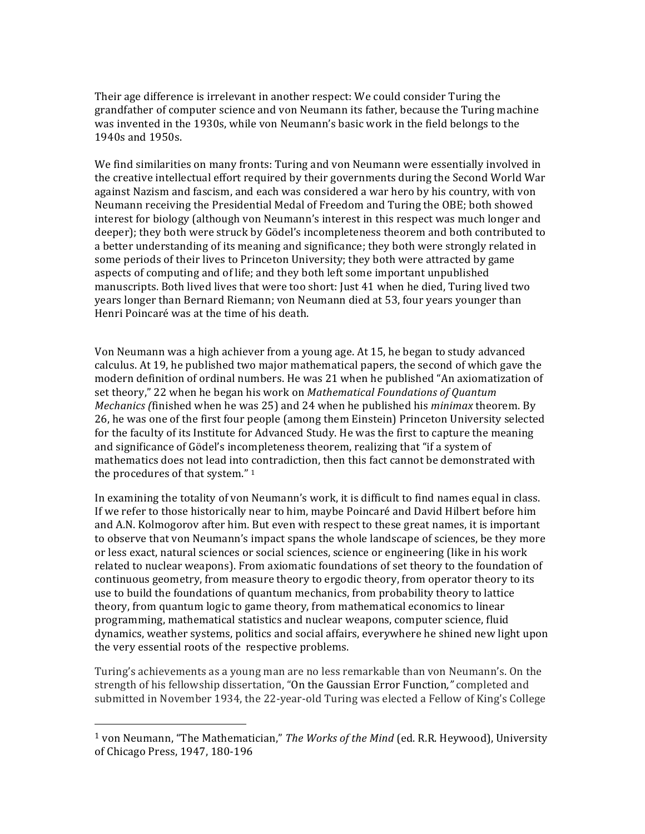Their age difference is irrelevant in another respect: We could consider Turing the grandfather of computer science and von Neumann its father, because the Turing machine was invented in the 1930s, while yon Neumann's basic work in the field belongs to the 1940s and 1950s.

We find similarities on many fronts: Turing and von Neumann were essentially involved in the creative intellectual effort required by their governments during the Second World War' against Nazism and fascism, and each was considered a war hero by his country, with von Neumann' receiving the Presidential Medal of Freedom and Turing the OBE; both showed interest for biology (although von Neumann's interest in this respect was much longer and deeper); they both were struck by Gödel's incompleteness theorem and both contributed to a better understanding of its meaning and significance; they both were strongly related in some periods of their lives to Princeton University; they both were attracted by game aspects of computing and of life; and they both left some important unpublished manuscripts. Both lived lives that were too short: Just 41 when he died, Turing lived two years longer than Bernard Riemann; von Neumann died at 53, four years younger than Henri Poincaré was at the time of his death.

Von Neumann'was a high achiever from a young age. At 15, he began to study advanced calculus. At 19, he published two major mathematical papers, the second of which gave the modern'definition' of ordinal numbers. He was 21 when he published "An axiomatization of set theory," 22 when he began his work on *Mathematical Foundations of Quantum Mechanics (finished when he was 25) and 24 when he published his <i>minimax* theorem. By 26, he was one of the first four people (among them Einstein) Princeton University selected for the faculty of its Institute for Advanced Study. He was the first to capture the meaning and significance of Gödel's incompleteness theorem, realizing that "if a system of mathematics does not lead into contradiction, then this fact cannot be demonstrated with the procedures of that system." 1

In examining the totality of von Neumann's work, it is difficult to find names equal in class. If we refer to those historically near to him, maybe Poincaré and David Hilbert before him and A.N. Kolmogorov after him. But even with respect to these great names, it is important to observe that von Neumann's impact spans the whole landscape of sciences, be they more or less exact, natural sciences or social sciences, science or engineering (like in his work related to nuclear weapons). From axiomatic foundations of set theory to the foundation of continuous geometry, from measure theory to ergodic theory, from operator theory to its use to build the foundations of quantum mechanics, from probability theory to lattice theory, from quantum logic to game theory, from mathematical economics to linear programming, mathematical statistics and nuclear weapons, computer science, fluid dynamics, weather systems, politics and social affairs, everywhere he shined new light upon the very essential roots of the respective problems.

Turing's achievements as a young man are no less remarkable than von Neumann's. On the strength of his fellowship dissertation, "On the Gaussian Error Function," completed and submitted in November 1934, the 22-year-old Turing was elected a Fellow of King's College

<sup>&</sup>lt;sup>1</sup> von Neumann, "The Mathematician," *The Works of the Mind* (ed. R.R. Heywood), University of Chicago Press, 1947, 180-196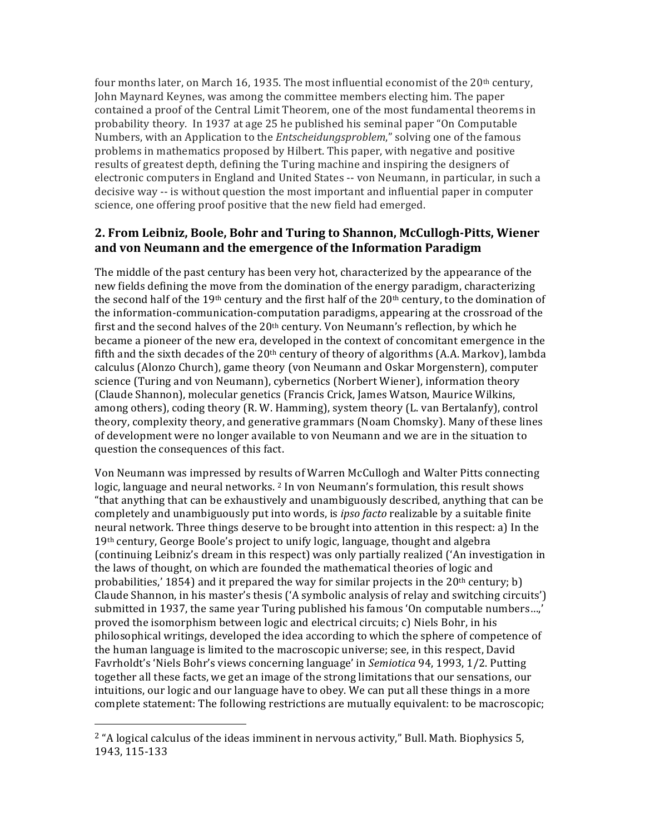four months later, on March 16, 1935. The most influential economist of the  $20<sup>th</sup>$  century, John'Maynard'Keynes, was'among'the'committee'members'electing'him.'The'paper' contained a proof of the Central Limit Theorem, one of the most fundamental theorems in probability theory. In 1937 at age 25 he published his seminal paper "On Computable' Numbers, with an Application to the *Entscheidungsproblem*," solving one of the famous problems in mathematics proposed by Hilbert. This paper, with negative and positive results of greatest depth, defining the Turing machine and inspiring the designers of electronic computers in England and United States -- von Neumann, in particular, in such a decisive way -- is without question the most important and influential paper in computer science, one offering proof positive that the new field had emerged.

#### **2. From&Leibniz,&Boole,&Bohr&and&Turing&to&Shannon,&McCullogh>Pitts,&Wiener** and von Neumann and the emergence of the Information Paradigm

The middle of the past century has been very hot, characterized by the appearance of the new fields defining the move from the domination of the energy paradigm, characterizing the second half of the 19<sup>th</sup> century and the first half of the  $20<sup>th</sup>$  century, to the domination of the information-communication-computation paradigms, appearing at the crossroad of the first and the second halves of the  $20<sup>th</sup>$  century. Von Neumann's reflection, by which he became a pioneer of the new era, developed in the context of concomitant emergence in the fifth and the sixth decades of the  $20<sup>th</sup>$  century of theory of algorithms (A.A. Markov), lambda calculus (Alonzo Church), game theory (von Neumann and Oskar Morgenstern), computer science (Turing and von Neumann), cybernetics (Norbert Wiener), information theory (Claude Shannon), molecular genetics (Francis Crick, James Watson, Maurice Wilkins, among others), coding theory (R. W. Hamming), system theory (L. van Bertalanfy), control theory, complexity theory, and generative grammars (Noam Chomsky). Many of these lines of development were no longer available to von Neumann and we are in the situation to question the consequences of this fact.

Von Neumann was impressed by results of Warren McCullogh and Walter Pitts connecting logic, language and neural networks. <sup>2</sup> In von Neumann's formulation, this result shows "that anything that can be exhaustively and unambiguously described, anything that can be completely and unambiguously put into words, is *ipso facto* realizable by a suitable finite neural network. Three things deserve to be brought into attention in this respect: a) In the 19<sup>th</sup> century, George Boole's project to unify logic, language, thought and algebra (continuing Leibniz's dream in this respect) was only partially realized ('An investigation in the laws of thought, on which are founded the mathematical theories of logic and probabilities,' 1854) and it prepared the way for similar projects in the  $20<sup>th</sup>$  century; b) Claude Shannon, in his master's thesis ('A symbolic analysis of relay and switching circuits') submitted in 1937, the same year Turing published his famous 'On computable numbers...,' proved the isomorphism between logic and electrical circuits; c) Niels Bohr, in his philosophical writings, developed the idea according to which the sphere of competence of the human language is limited to the macroscopic universe; see, in this respect, David Favrholdt's 'Niels Bohr's views concerning language' in *Semiotica* 94, 1993, 1/2. Putting together all these facts, we get an image of the strong limitations that our sensations, our intuitions, our logic and our language have to obey. We can put all these things in a more complete statement: The following restrictions are mutually equivalent: to be macroscopic;

 $2$  "A logical calculus of the ideas imminent in nervous activity," Bull. Math. Biophysics 5, 1943, 115-133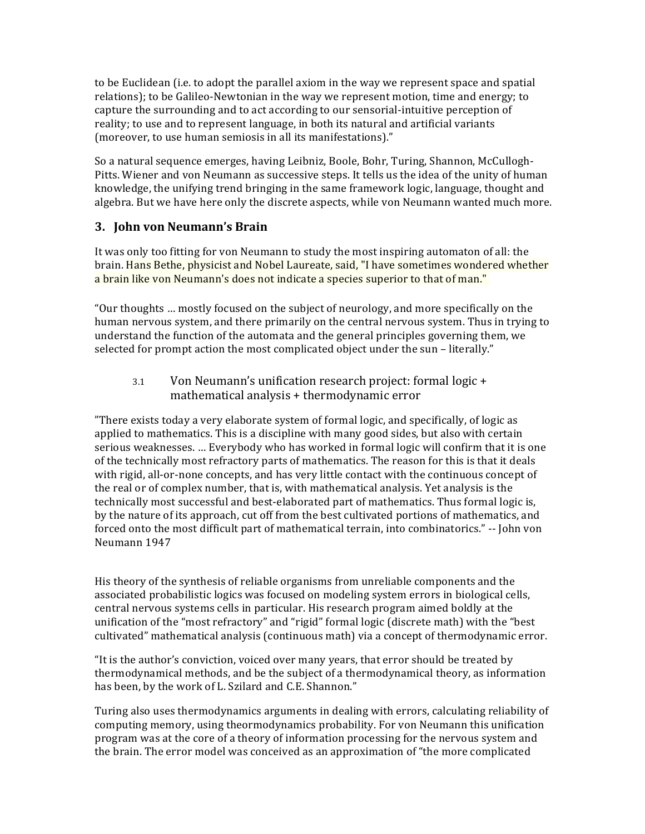to be Euclidean (i.e. to adopt the parallel axiom in the way we represent space and spatial relations); to be Galileo-Newtonian in the way we represent motion, time and energy; to capture the surrounding and to act according to our sensorial-intuitive perception of reality; to use and to represent language, in both its natural and artificial variants (moreover, to use human semiosis in all its manifestations)."

So a natural sequence emerges, having Leibniz, Boole, Bohr, Turing, Shannon, McCullogh-Pitts. Wiener and von Neumann as successive steps. It tells us the idea of the unity of human knowledge, the unifying trend bringing in the same framework logic, language, thought and algebra. But we have here only the discrete aspects, while von Neumann wanted much more.

### **3. John von Neumann's Brain**

It was only too fitting for von Neumann to study the most inspiring automaton of all: the brain. Hans Bethe, physicist and Nobel Laureate, said, "I have sometimes wondered whether a brain like von Neumann's does not indicate a species superior to that of man."

"Our'thoughts'…'mostly'focused'on'the'subject'of'neurology,'and'more'specifically'on'the' human nervous system, and there primarily on the central nervous system. Thus in trying to understand the function of the automata and the general principles governing them, we selected for prompt action the most complicated object under the sun - literally."

3.1 Von Neumann's unification research project: formal logic + mathematical analysis + thermodynamic error

"There exists today a very elaborate system of formal logic, and specifically, of logic as applied to mathematics. This is a discipline with many good sides, but also with certain serious weaknesses. ... Everybody who has worked in formal logic will confirm that it is one of the technically most refractory parts of mathematics. The reason for this is that it deals with rigid, all-or-none concepts, and has very little contact with the continuous concept of the real or of complex number, that is, with mathematical analysis. Yet analysis is the technically most successful and best-elaborated part of mathematics. Thus formal logic is, by the nature of its approach, cut off from the best cultivated portions of mathematics, and forced onto the most difficult part of mathematical terrain, into combinatorics." -- John von Neumann'1947

His theory of the synthesis of reliable organisms from unreliable components and the associated probabilistic logics was focused on modeling system errors in biological cells, central nervous systems cells in particular. His research program aimed boldly at the unification of the "most refractory" and "rigid" formal logic (discrete math) with the "best cultivated" mathematical analysis (continuous math) via a concept of thermodynamic error.

"It is the author's conviction, voiced over many years, that error should be treated by thermodynamical methods, and be the subject of a thermodynamical theory, as information has been, by the work of L. Szilard and C.E. Shannon."

Turing also uses thermodynamics arguments in dealing with errors, calculating reliability of computing memory, using theormodynamics probability. For von Neumann this unification program was at the core of a theory of information processing for the nervous system and the brain. The error model was conceived as an approximation of "the more complicated"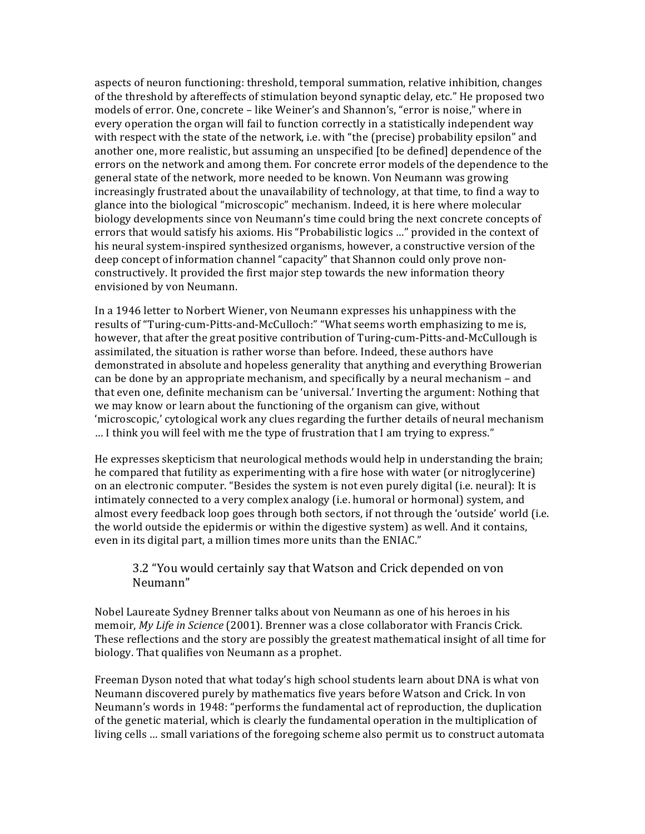aspects of neuron functioning: threshold, temporal summation, relative inhibition, changes of the threshold by aftereffects of stimulation beyond synaptic delay, etc." He proposed two models of error. One, concrete - like Weiner's and Shannon's, "error is noise," where in every operation the organ will fail to function correctly in a statistically independent way with respect with the state of the network, i.e. with "the (precise) probability epsilon" and another one, more realistic, but assuming an unspecified [to be defined] dependence of the errors on the network and among them. For concrete error models of the dependence to the general state of the network, more needed to be known. Von Neumann was growing increasingly frustrated about the unavailability of technology, at that time, to find a way to glance into the biological "microscopic" mechanism. Indeed, it is here where molecular biology developments since von Neumann's time could bring the next concrete concepts of errors that would satisfy his axioms. His "Probabilistic logics ..." provided in the context of his neural system-inspired synthesized organisms, however, a constructive version of the deep concept of information channel "capacity" that Shannon could only prove nonconstructively. It provided the first major step towards the new information theory envisioned by von Neumann.

In a 1946 letter to Norbert Wiener, von Neumann expresses his unhappiness with the results of "Turing-cum-Pitts-and-McCulloch:" "What seems worth emphasizing to me is, however, that after the great positive contribution of Turing-cum-Pitts-and-McCullough is assimilated, the situation is rather worse than before. Indeed, these authors have demonstrated in absolute and hopeless generality that anything and everything Browerian can'be done by an appropriate mechanism, and specifically by a neural mechanism – and that even one, definite mechanism can be 'universal.' Inverting the argument: Nothing that we may know or learn about the functioning of the organism can give, without 'microscopic,' cytological work any clues regarding the further details of neural mechanism ... I think you will feel with me the type of frustration that I am trying to express."

He expresses skepticism that neurological methods would help in understanding the brain; he compared that futility as experimenting with a fire hose with water (or nitroglycerine) on an electronic computer. "Besides the system is not even purely digital (i.e. neural): It is intimately connected to a very complex analogy (i.e. humoral or hormonal) system, and almost every feedback loop goes through both sectors, if not through the 'outside' world (i.e. the world outside the epidermis or within the digestive system) as well. And it contains, even in its digital part, a million times more units than the ENIAC."

#### 3.2 "You would certainly say that Watson and Crick depended on von Neumann"

Nobel Laureate Sydney Brenner talks about von Neumann as one of his heroes in his memoir, *My Life in Science* (2001). Brenner was a close collaborator with Francis Crick. These reflections and the story are possibly the greatest mathematical insight of all time for biology. That qualifies von Neumann as a prophet.

Freeman Dyson noted that what today's high school students learn about DNA is what von Neumann'discovered purely by mathematics five years' before Watson and Crick. In von' Neumann's words in 1948: "performs the fundamental act of reproduction, the duplication of the genetic material, which is clearly the fundamental operation in the multiplication of living cells ... small variations of the foregoing scheme also permit us to construct automata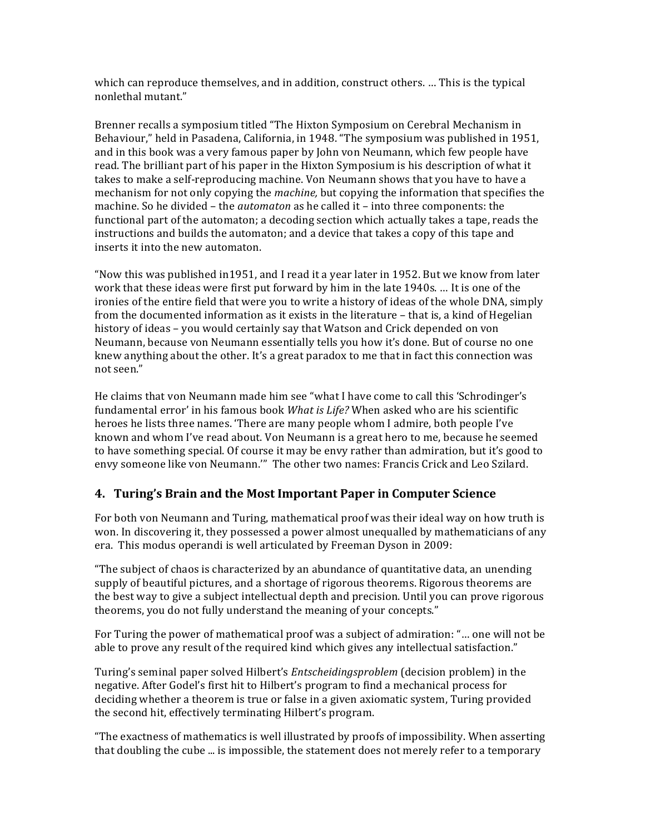which can reproduce themselves, and in addition, construct others. ... This is the typical nonlethal mutant."

Brenner recalls a symposium titled "The Hixton Symposium on Cerebral Mechanism in Behaviour," held in Pasadena, California, in 1948. "The symposium was published in 1951, and in this book was a very famous paper by John von Neumann, which few people have read. The brilliant part of his paper in the Hixton Symposium is his description of what it takes to make a self-reproducing machine. Von Neumann shows that you have to have a mechanism for not only copying the *machine*, but copying the information that specifies the machine. So he divided – the *automaton* as he called it – into three components: the functional part of the automaton; a decoding section which actually takes a tape, reads the instructions and builds the automaton; and a device that takes a copy of this tape and inserts it into the new automaton.

"Now this was published in1951, and I read it a year later in 1952. But we know from later work that these ideas were first put forward by him in the late 1940s. ... It is one of the ironies of the entire field that were you to write a history of ideas of the whole DNA, simply from the documented information as it exists in the literature – that is, a kind of Hegelian history of ideas – you would certainly say that Watson and Crick depended on von Neumann, because von Neumann essentially tells you how it's done. But of course no one knew anything about the other. It's a great paradox to me that in fact this connection was not seen."

He claims that yon Neumann made him see "what I have come to call this 'Schrodinger's' fundamental error' in his famous book *What is Life?* When asked who are his scientific heroes he lists three names. 'There are many people whom I admire, both people I've known and whom I've read about. Von Neumann is a great hero to me, because he seemed to have something special. Of course it may be envy rather than admiration, but it's good to envy someone like von Neumann."" The other two names: Francis Crick and Leo Szilard.

### **4. Turing's&Brain&and&the&Most&Important Paper&in&Computer&Science**

For both von Neumann and Turing, mathematical proof was their ideal way on how truth is won. In discovering it, they possessed a power almost unequalled by mathematicians of any era. This modus operandi is well articulated by Freeman Dyson in 2009:

"The subject of chaos is characterized by an abundance of quantitative data, an unending supply of beautiful pictures, and a shortage of rigorous theorems. Rigorous theorems are the best way to give a subject intellectual depth and precision. Until you can prove rigorous theorems, you do not fully understand the meaning of your concepts."

For Turing the power of mathematical proof was a subject of admiration: "... one will not be able to prove any result of the required kind which gives any intellectual satisfaction."

Turing's seminal paper solved Hilbert's *Entscheidingsproblem* (decision problem) in the negative. After Godel's first hit to Hilbert's program to find a mechanical process for deciding whether a theorem is true or false in a given axiomatic system, Turing provided the second hit, effectively terminating Hilbert's program.

"The exactness of mathematics is well illustrated by proofs of impossibility. When asserting that doubling the cube ... is impossible, the statement does not merely refer to a temporary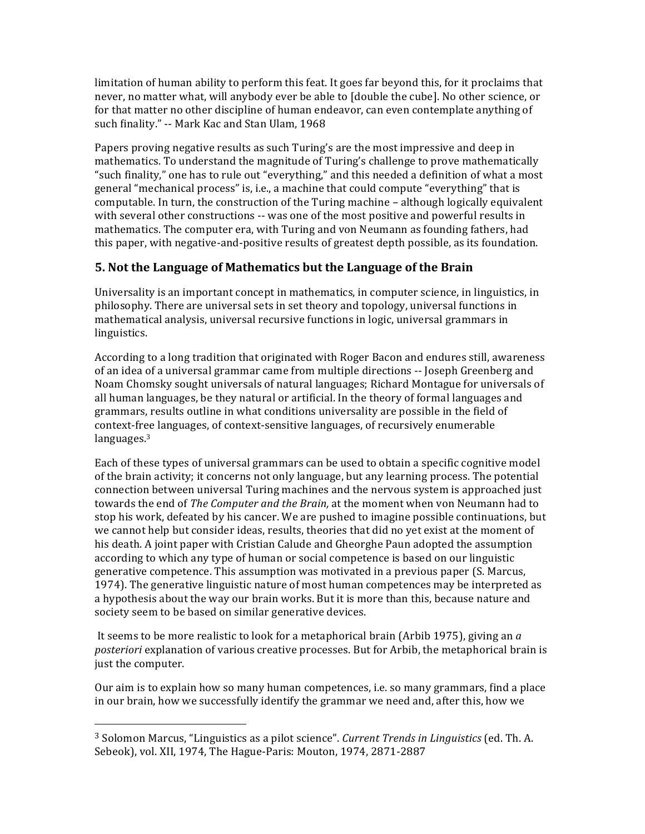limitation of human ability to perform this feat. It goes far beyond this, for it proclaims that never, no matter what, will anybody ever be able to [double the cube]. No other science, or for that matter no other discipline of human endeavor, can even contemplate anything of such finality." -- Mark Kac and Stan Ulam, 1968

Papers proving negative results as such Turing's are the most impressive and deep in mathematics. To understand the magnitude of Turing's challenge to prove mathematically "such finality," one has to rule out "everything," and this needed a definition of what a most general "mechanical process" is, i.e., a machine that could compute "everything" that is computable. In turn, the construction of the Turing machine – although logically equivalent with several other constructions -- was one of the most positive and powerful results in mathematics. The computer era, with Turing and von Neumann as founding fathers, had this paper, with negative-and-positive results of greatest depth possible, as its foundation.

## **5. Not the Language of Mathematics but the Language of the Brain**

Universality is an important concept in mathematics, in computer science, in linguistics, in philosophy. There are universal sets in set theory and topology, universal functions in mathematical analysis, universal recursive functions in logic, universal grammars in linguistics.

According to a long tradition that originated with Roger Bacon and endures still, awareness of an idea of a universal grammar came from multiple directions -- Joseph Greenberg and Noam Chomsky sought universals of natural languages; Richard Montague for universals of all human languages, be they natural or artificial. In the theory of formal languages and grammars, results outline in what conditions universality are possible in the field of context-free languages, of context-sensitive languages, of recursively enumerable languages.<sup>3</sup>

Each of these types of universal grammars can be used to obtain a specific cognitive model of the brain activity; it concerns not only language, but any learning process. The potential connection between universal Turing machines and the nervous system is approached just towards the end of *The Computer and the Brain*, at the moment when von Neumann had to stop his work, defeated by his cancer. We are pushed to imagine possible continuations, but we cannot help but consider ideas, results, theories that did no yet exist at the moment of his death. A joint paper with Cristian Calude and Gheorghe Paun adopted the assumption according to which any type of human or social competence is based on our linguistic generative competence. This assumption was motivated in a previous paper (S. Marcus, 1974). The generative linguistic nature of most human competences may be interpreted as a hypothesis about the way our brain works. But it is more than this, because nature and society seem to be based on similar generative devices.

It seems to be more realistic to look for a metaphorical brain (Arbib 1975), giving an *a* posteriori explanation of various creative processes. But for Arbib, the metaphorical brain is just the computer.

Our aim is to explain how so many human competences, i.e. so many grammars, find a place in our brain, how we successfully identify the grammar we need and, after this, how we

<sup>&</sup>lt;sup>3</sup> Solomon Marcus, "Linguistics as a pilot science". *Current Trends in Linguistics* (ed. Th. A. Sebeok), vol. XII, 1974, The Hague-Paris: Mouton, 1974, 2871-2887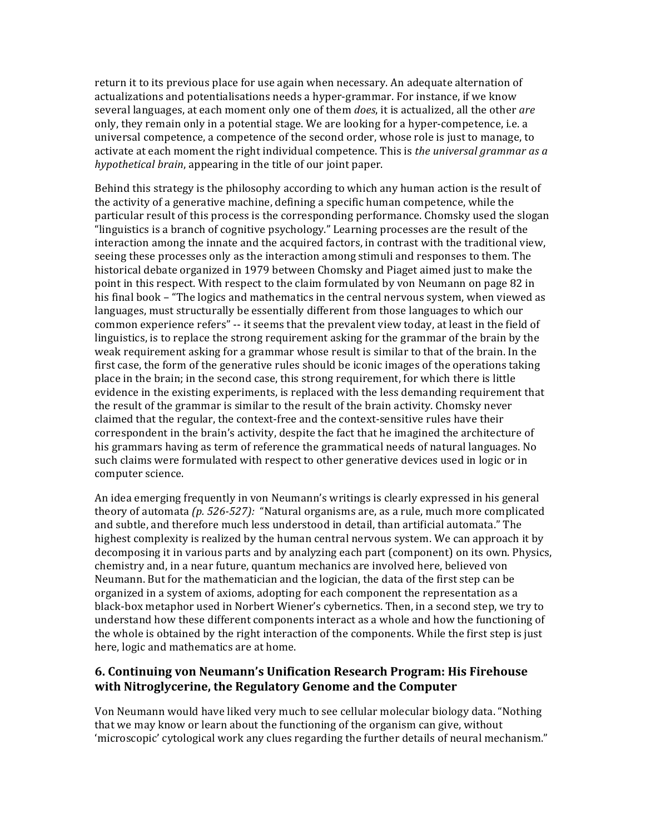return it to its previous place for use again when necessary. An adequate alternation of actualizations and potentialisations needs a hyper-grammar. For instance, if we know several languages, at each moment only one of them *does*, it is actualized, all the other *are* only, they remain only in a potential stage. We are looking for a hyper-competence, i.e. a universal competence, a competence of the second order, whose role is just to manage, to activate at each moment the right individual competence. This is *the universal grammar as a hypothetical brain*, appearing in the title of our joint paper.

Behind this strategy is the philosophy according to which any human action is the result of the activity of a generative machine, defining a specific human competence, while the particular' result of this process is the corresponding performance. Chomsky used the slogan "linguistics is a branch of cognitive psychology." Learning processes are the result of the interaction among the innate and the acquired factors, in contrast with the traditional view, seeing these processes only as the interaction among stimuli and responses to them. The historical debate organized in 1979 between Chomsky and Piaget aimed just to make the point in this respect. With respect to the claim formulated by von Neumann on page 82 in his final book – "The logics and mathematics in the central nervous system, when viewed as languages, must structurally be essentially different from those languages to which our common experience refers" -- it seems that the prevalent view today, at least in the field of linguistics, is to replace the strong requirement asking for the grammar of the brain by the weak requirement asking for a grammar whose result is similar to that of the brain. In the first case, the form of the generative rules should be iconic images of the operations taking place in the brain; in the second case, this strong requirement, for which there is little evidence in the existing experiments, is replaced with the less demanding requirement that the result of the grammar is similar to the result of the brain activity. Chomsky never claimed that the regular, the context-free and the context-sensitive rules have their correspondent in the brain's activity, despite the fact that he imagined the architecture of his grammars having as term of reference the grammatical needs of natural languages. No such claims were formulated with respect to other generative devices used in logic or in computer science.

An idea emerging frequently in von Neumann's writings is clearly expressed in his general theory of automata (p. 526-527): "Natural organisms are, as a rule, much more complicated and subtle, and therefore much less understood in detail, than artificial automata." The highest complexity is realized by the human central nervous system. We can approach it by decomposing it in various parts and by analyzing each part (component) on its own. Physics, chemistry and, in a near future, quantum mechanics are involved here, believed von Neumann. But for the mathematician and the logician, the data of the first step can be organized in a system of axioms, adopting for each component the representation as a black-box metaphor used in Norbert Wiener's cybernetics. Then, in a second step, we try to understand how these different components interact as a whole and how the functioning of the whole is obtained by the right interaction of the components. While the first step is just here, logic and mathematics are at home.

#### **6.&Continuing&von&Neumann's Unification Research&Program:&His&Firehouse& with&Nitroglycerine, the&Regulatory&Genome and&the&Computer**

Von Neumann would have liked very much to see cellular molecular biology data. "Nothing' that we may know or learn about the functioning of the organism can give, without 'microscopic' cytological work any clues regarding the further details of neural mechanism."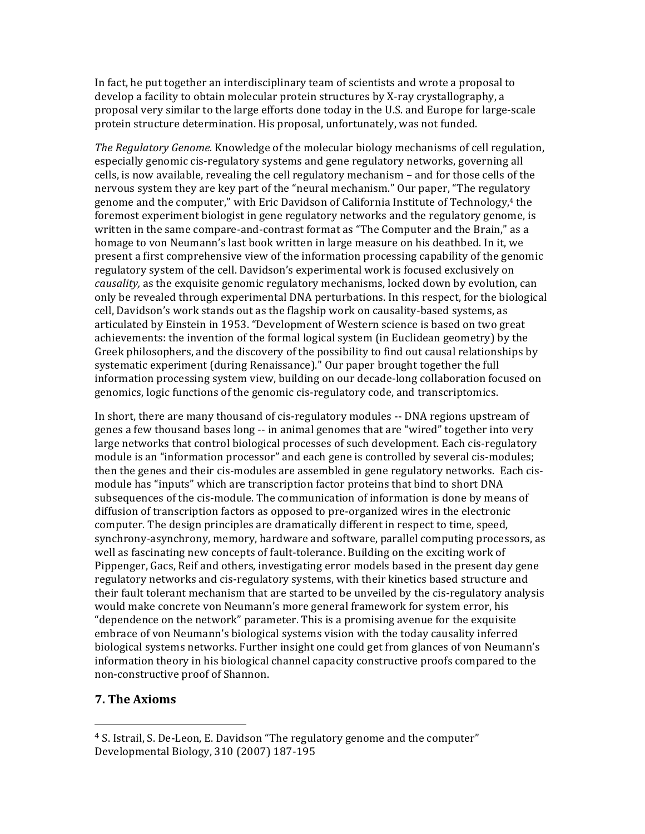In fact, he put together an interdisciplinary team of scientists and wrote a proposal to develop a facility to obtain molecular protein structures by X-ray crystallography, a proposal very similar to the large efforts done today in the U.S. and Europe for large-scale protein structure determination. His proposal, unfortunately, was not funded.

*The Regulatory Genome.* Knowledge of the molecular biology mechanisms of cell regulation, especially genomic cis-regulatory systems and gene regulatory networks, governing all cells, is now available, revealing the cell regulatory mechanism – and for those cells of the nervous system they are key part of the "neural mechanism." Our paper, "The regulatory' genome and the computer," with Eric Davidson of California Institute of Technology,<sup>4</sup> the foremost experiment biologist in gene regulatory networks and the regulatory genome, is written in the same compare-and-contrast format as "The Computer and the Brain," as a homage to von Neumann's last book written in large measure on his deathbed. In it, we present a first comprehensive view of the information processing capability of the genomic regulatory system of the cell. Davidson's experimental work is focused exclusively on *causality*, as the exquisite genomic regulatory mechanisms, locked down by evolution, can only be revealed through experimental DNA perturbations. In this respect, for the biological cell, Davidson's work stands out as the flagship work on causality-based systems, as articulated by Einstein in 1953. "Development of Western science is based on two great achievements: the invention of the formal logical system (in Euclidean geometry) by the Greek philosophers, and the discovery of the possibility to find out causal relationships by systematic experiment (during Renaissance)." Our paper brought together the full information processing system view, building on our decade-long collaboration focused on genomics, logic functions of the genomic cis-regulatory code, and transcriptomics.

In short, there are many thousand of cis-regulatory modules -- DNA regions upstream of genes a few thousand bases long -- in animal genomes that are "wired" together into very large networks that control biological processes of such development. Each cis-regulatory module is an "information processor" and each gene is controlled by several cis-modules; then'the genes and their cis-modules are assembled in gene regulatory networks. Each cismodule has "inputs" which are transcription factor proteins that bind to short DNA subsequences of the cis-module. The communication of information is done by means of diffusion of transcription factors as opposed to pre-organized wires in the electronic computer. The design principles are dramatically different in respect to time, speed, synchrony-asynchrony, memory, hardware and software, parallel computing processors, as well as fascinating new concepts of fault-tolerance. Building on the exciting work of Pippenger, Gacs, Reif and others, investigating error models based in the present day gene regulatory networks and cis-regulatory systems, with their kinetics based structure and their fault tolerant mechanism that are started to be unveiled by the cis-regulatory analysis would make concrete von Neumann's more general framework for system error, his "dependence on the network" parameter. This is a promising avenue for the exquisite embrace of von Neumann's biological systems vision with the today causality inferred biological systems networks. Further insight one could get from glances of von Neumann's information theory in his biological channel capacity constructive proofs compared to the non-constructive proof of Shannon.

#### **7. The Axioms**

<sup>&</sup>lt;sup>4</sup> S. Istrail, S. De-Leon, E. Davidson "The regulatory genome and the computer" Developmental Biology, 310 (2007) 187-195